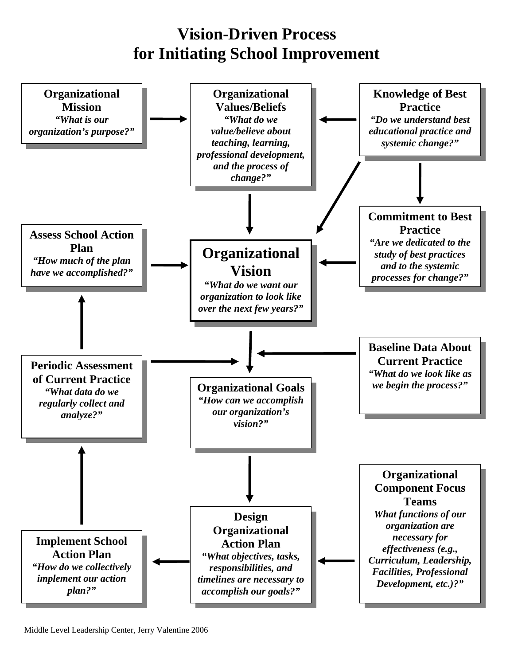## **Vision-Driven Process for Initiating School Improvement**